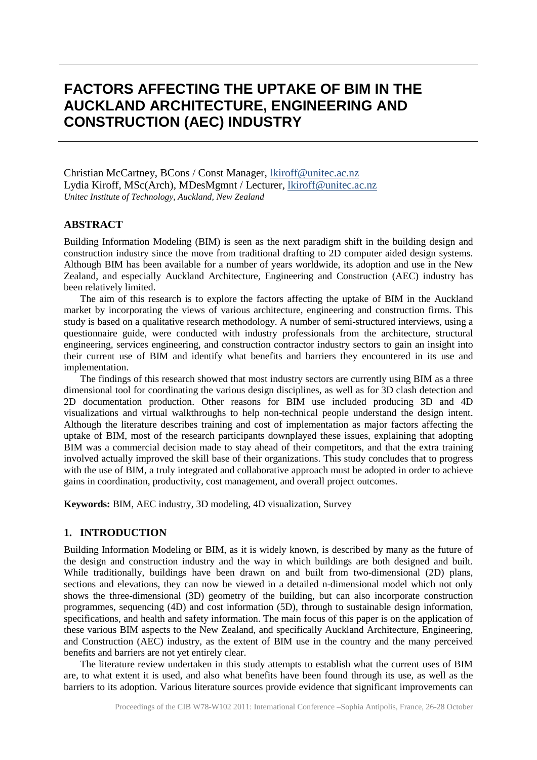# **FACTORS AFFECTING THE UPTAKE OF BIM IN THE AUCKLAND ARCHITECTURE, ENGINEERING AND CONSTRUCTION (AEC) INDUSTRY**

Christian McCartney, BCons / Const Manager, [lkiroff@unitec.ac.nz](mailto:lkiroff@unitec.ac.nz) Lydia Kiroff, MSc(Arch), MDesMgmnt / Lecturer, [lkiroff@unitec.ac.nz](mailto:lkiroff@unitec.ac.nz) *Unitec Institute of Technology, Auckland, New Zealand*

#### **ABSTRACT**

Building Information Modeling (BIM) is seen as the next paradigm shift in the building design and construction industry since the move from traditional drafting to 2D computer aided design systems. Although BIM has been available for a number of years worldwide, its adoption and use in the New Zealand, and especially Auckland Architecture, Engineering and Construction (AEC) industry has been relatively limited.

The aim of this research is to explore the factors affecting the uptake of BIM in the Auckland market by incorporating the views of various architecture, engineering and construction firms. This study is based on a qualitative research methodology. A number of semi-structured interviews, using a questionnaire guide, were conducted with industry professionals from the architecture, structural engineering, services engineering, and construction contractor industry sectors to gain an insight into their current use of BIM and identify what benefits and barriers they encountered in its use and implementation.

The findings of this research showed that most industry sectors are currently using BIM as a three dimensional tool for coordinating the various design disciplines, as well as for 3D clash detection and 2D documentation production. Other reasons for BIM use included producing 3D and 4D visualizations and virtual walkthroughs to help non-technical people understand the design intent. Although the literature describes training and cost of implementation as major factors affecting the uptake of BIM, most of the research participants downplayed these issues, explaining that adopting BIM was a commercial decision made to stay ahead of their competitors, and that the extra training involved actually improved the skill base of their organizations. This study concludes that to progress with the use of BIM, a truly integrated and collaborative approach must be adopted in order to achieve gains in coordination, productivity, cost management, and overall project outcomes.

**Keywords:** BIM, AEC industry, 3D modeling, 4D visualization, Survey

#### **1. INTRODUCTION**

Building Information Modeling or BIM, as it is widely known, is described by many as the future of the design and construction industry and the way in which buildings are both designed and built. While traditionally, buildings have been drawn on and built from two-dimensional (2D) plans, sections and elevations, they can now be viewed in a detailed n-dimensional model which not only shows the three-dimensional (3D) geometry of the building, but can also incorporate construction programmes, sequencing (4D) and cost information (5D), through to sustainable design information, specifications, and health and safety information. The main focus of this paper is on the application of these various BIM aspects to the New Zealand, and specifically Auckland Architecture, Engineering, and Construction (AEC) industry, as the extent of BIM use in the country and the many perceived benefits and barriers are not yet entirely clear.

The literature review undertaken in this study attempts to establish what the current uses of BIM are, to what extent it is used, and also what benefits have been found through its use, as well as the barriers to its adoption. Various literature sources provide evidence that significant improvements can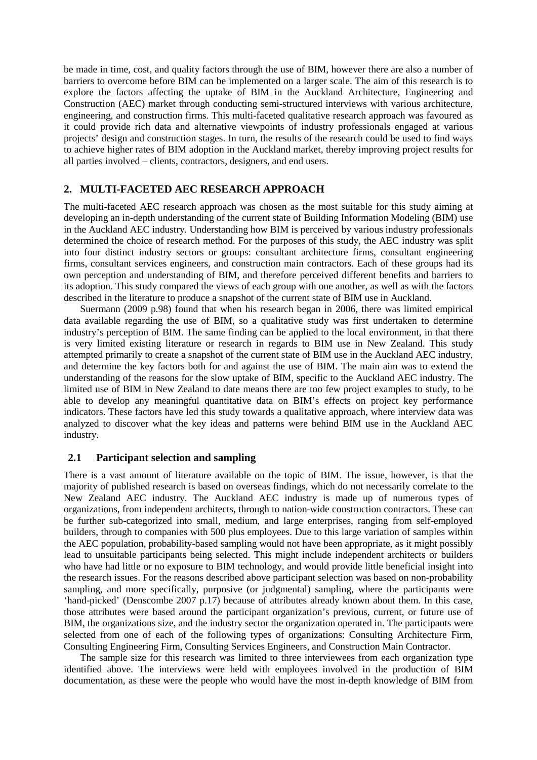be made in time, cost, and quality factors through the use of BIM, however there are also a number of barriers to overcome before BIM can be implemented on a larger scale. The aim of this research is to explore the factors affecting the uptake of BIM in the Auckland Architecture, Engineering and Construction (AEC) market through conducting semi-structured interviews with various architecture, engineering, and construction firms. This multi-faceted qualitative research approach was favoured as it could provide rich data and alternative viewpoints of industry professionals engaged at various projects' design and construction stages. In turn, the results of the research could be used to find ways to achieve higher rates of BIM adoption in the Auckland market, thereby improving project results for all parties involved – clients, contractors, designers, and end users.

# **2. MULTI-FACETED AEC RESEARCH APPROACH**

The multi-faceted AEC research approach was chosen as the most suitable for this study aiming at developing an in-depth understanding of the current state of Building Information Modeling (BIM) use in the Auckland AEC industry. Understanding how BIM is perceived by various industry professionals determined the choice of research method. For the purposes of this study, the AEC industry was split into four distinct industry sectors or groups: consultant architecture firms, consultant engineering firms, consultant services engineers, and construction main contractors. Each of these groups had its own perception and understanding of BIM, and therefore perceived different benefits and barriers to its adoption. This study compared the views of each group with one another, as well as with the factors described in the literature to produce a snapshot of the current state of BIM use in Auckland.

Suermann (2009 p.98) found that when his research began in 2006, there was limited empirical data available regarding the use of BIM, so a qualitative study was first undertaken to determine industry's perception of BIM. The same finding can be applied to the local environment, in that there is very limited existing literature or research in regards to BIM use in New Zealand. This study attempted primarily to create a snapshot of the current state of BIM use in the Auckland AEC industry, and determine the key factors both for and against the use of BIM. The main aim was to extend the understanding of the reasons for the slow uptake of BIM, specific to the Auckland AEC industry. The limited use of BIM in New Zealand to date means there are too few project examples to study, to be able to develop any meaningful quantitative data on BIM's effects on project key performance indicators. These factors have led this study towards a qualitative approach, where interview data was analyzed to discover what the key ideas and patterns were behind BIM use in the Auckland AEC industry.

#### **2.1 Participant selection and sampling**

There is a vast amount of literature available on the topic of BIM. The issue, however, is that the majority of published research is based on overseas findings, which do not necessarily correlate to the New Zealand AEC industry. The Auckland AEC industry is made up of numerous types of organizations, from independent architects, through to nation-wide construction contractors. These can be further sub-categorized into small, medium, and large enterprises, ranging from self-employed builders, through to companies with 500 plus employees. Due to this large variation of samples within the AEC population, probability-based sampling would not have been appropriate, as it might possibly lead to unsuitable participants being selected. This might include independent architects or builders who have had little or no exposure to BIM technology, and would provide little beneficial insight into the research issues. For the reasons described above participant selection was based on non-probability sampling, and more specifically, purposive (or judgmental) sampling, where the participants were 'hand-picked' (Denscombe 2007 p.17) because of attributes already known about them. In this case, those attributes were based around the participant organization's previous, current, or future use of BIM, the organizations size, and the industry sector the organization operated in. The participants were selected from one of each of the following types of organizations: Consulting Architecture Firm, Consulting Engineering Firm, Consulting Services Engineers, and Construction Main Contractor.

The sample size for this research was limited to three interviewees from each organization type identified above. The interviews were held with employees involved in the production of BIM documentation, as these were the people who would have the most in-depth knowledge of BIM from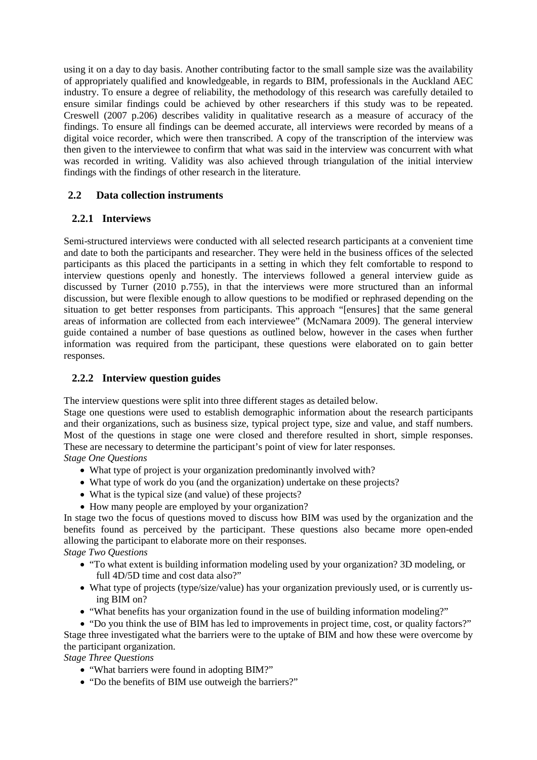using it on a day to day basis. Another contributing factor to the small sample size was the availability of appropriately qualified and knowledgeable, in regards to BIM, professionals in the Auckland AEC industry. To ensure a degree of reliability, the methodology of this research was carefully detailed to ensure similar findings could be achieved by other researchers if this study was to be repeated. Creswell (2007 p.206) describes validity in qualitative research as a measure of accuracy of the findings. To ensure all findings can be deemed accurate, all interviews were recorded by means of a digital voice recorder, which were then transcribed. A copy of the transcription of the interview was then given to the interviewee to confirm that what was said in the interview was concurrent with what was recorded in writing. Validity was also achieved through triangulation of the initial interview findings with the findings of other research in the literature.

# **2.2 Data collection instruments**

# **2.2.1 Interviews**

Semi-structured interviews were conducted with all selected research participants at a convenient time and date to both the participants and researcher. They were held in the business offices of the selected participants as this placed the participants in a setting in which they felt comfortable to respond to interview questions openly and honestly. The interviews followed a general interview guide as discussed by Turner (2010 p.755), in that the interviews were more structured than an informal discussion, but were flexible enough to allow questions to be modified or rephrased depending on the situation to get better responses from participants. This approach "[ensures] that the same general areas of information are collected from each interviewee" (McNamara 2009). The general interview guide contained a number of base questions as outlined below, however in the cases when further information was required from the participant, these questions were elaborated on to gain better responses.

# **2.2.2 Interview question guides**

The interview questions were split into three different stages as detailed below.

Stage one questions were used to establish demographic information about the research participants and their organizations, such as business size, typical project type, size and value, and staff numbers. Most of the questions in stage one were closed and therefore resulted in short, simple responses. These are necessary to determine the participant's point of view for later responses.

*Stage One Questions*

- What type of project is your organization predominantly involved with?
- What type of work do you (and the organization) undertake on these projects?
- What is the typical size (and value) of these projects?
- How many people are employed by your organization?

In stage two the focus of questions moved to discuss how BIM was used by the organization and the benefits found as perceived by the participant. These questions also became more open-ended allowing the participant to elaborate more on their responses.

#### *Stage Two Questions*

- "To what extent is building information modeling used by your organization? 3D modeling, or full 4D/5D time and cost data also?"
- What type of projects (type/size/value) has your organization previously used, or is currently using BIM on?
- "What benefits has your organization found in the use of building information modeling?"

• "Do you think the use of BIM has led to improvements in project time, cost, or quality factors?" Stage three investigated what the barriers were to the uptake of BIM and how these were overcome by the participant organization.

# *Stage Three Questions*

- "What barriers were found in adopting BIM?"
- "Do the benefits of BIM use outweigh the barriers?"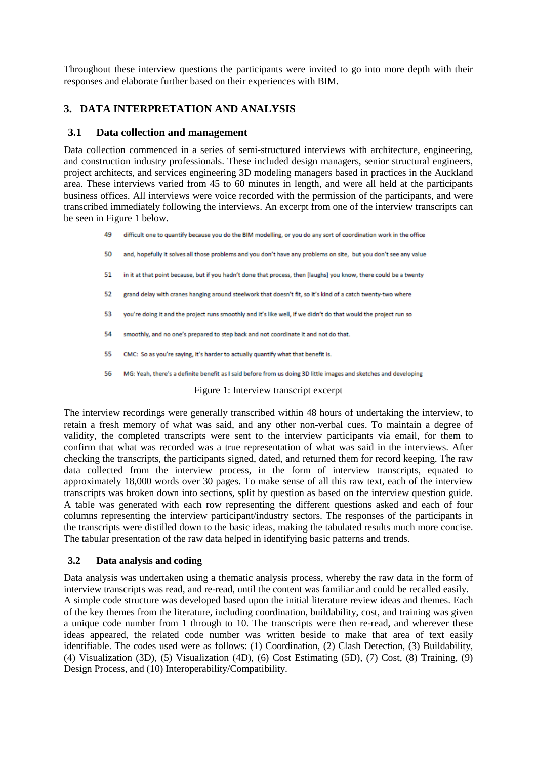Throughout these interview questions the participants were invited to go into more depth with their responses and elaborate further based on their experiences with BIM.

# **3. DATA INTERPRETATION AND ANALYSIS**

# **3.1 Data collection and management**

Data collection commenced in a series of semi-structured interviews with architecture, engineering, and construction industry professionals. These included design managers, senior structural engineers, project architects, and services engineering 3D modeling managers based in practices in the Auckland area. These interviews varied from 45 to 60 minutes in length, and were all held at the participants business offices. All interviews were voice recorded with the permission of the participants, and were transcribed immediately following the interviews. An excerpt from one of the interview transcripts can be seen in Figure 1 below.

49 difficult one to quantify because you do the BIM modelling, or you do any sort of coordination work in the office

- 50 and, hopefully it solves all those problems and you don't have any problems on site. but you don't see any value
- 51 in it at that point because, but if you hadn't done that process, then flaughs) you know, there could be a twenty
- 52 grand delay with cranes hanging around steelwork that doesn't fit, so it's kind of a catch twenty-two where
- 53 you're doing it and the project runs smoothly and it's like well, if we didn't do that would the project run so
- 54 smoothly, and no one's prepared to step back and not coordinate it and not do that.
- 55 CMC: So as you're saying, it's harder to actually quantify what that benefit is.
- MG: Yeah, there's a definite benefit as I said before from us doing 3D little images and sketches and developing 56

Figure 1: Interview transcript excerpt

The interview recordings were generally transcribed within 48 hours of undertaking the interview, to retain a fresh memory of what was said, and any other non-verbal cues. To maintain a degree of validity, the completed transcripts were sent to the interview participants via email, for them to confirm that what was recorded was a true representation of what was said in the interviews. After checking the transcripts, the participants signed, dated, and returned them for record keeping. The raw data collected from the interview process, in the form of interview transcripts, equated to approximately 18,000 words over 30 pages. To make sense of all this raw text, each of the interview transcripts was broken down into sections, split by question as based on the interview question guide. A table was generated with each row representing the different questions asked and each of four columns representing the interview participant/industry sectors. The responses of the participants in the transcripts were distilled down to the basic ideas, making the tabulated results much more concise. The tabular presentation of the raw data helped in identifying basic patterns and trends.

#### **3.2 Data analysis and coding**

Data analysis was undertaken using a thematic analysis process, whereby the raw data in the form of interview transcripts was read, and re-read, until the content was familiar and could be recalled easily. A simple code structure was developed based upon the initial literature review ideas and themes. Each of the key themes from the literature, including coordination, buildability, cost, and training was given a unique code number from 1 through to 10. The transcripts were then re-read, and wherever these ideas appeared, the related code number was written beside to make that area of text easily identifiable. The codes used were as follows: (1) Coordination, (2) Clash Detection, (3) Buildability, (4) Visualization (3D), (5) Visualization (4D), (6) Cost Estimating (5D), (7) Cost, (8) Training, (9) Design Process, and (10) Interoperability/Compatibility.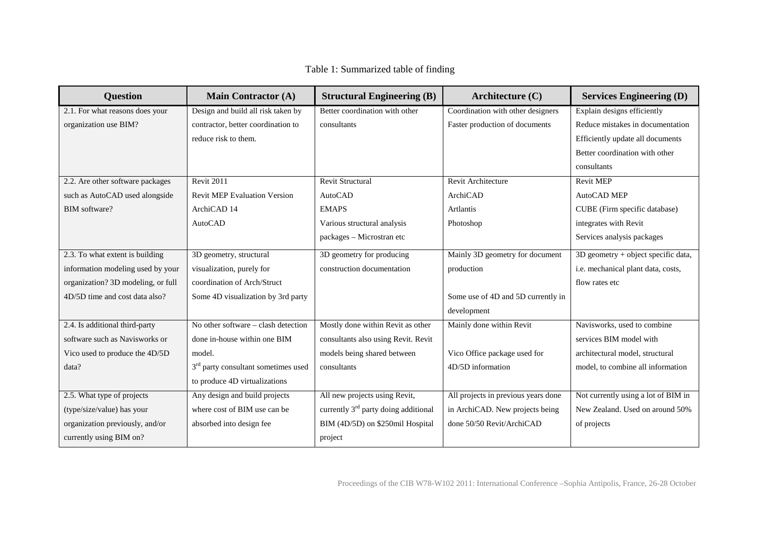| Table 1: Summarized table of finding |
|--------------------------------------|
|--------------------------------------|

| <b>Question</b>                    | <b>Main Contractor (A)</b>                      | <b>Structural Engineering (B)</b>      | Architecture (C)                    | <b>Services Engineering (D)</b>       |
|------------------------------------|-------------------------------------------------|----------------------------------------|-------------------------------------|---------------------------------------|
| 2.1. For what reasons does your    | Design and build all risk taken by              | Better coordination with other         | Coordination with other designers   | Explain designs efficiently           |
| organization use BIM?              | contractor, better coordination to              | consultants                            | Faster production of documents      | Reduce mistakes in documentation      |
|                                    | reduce risk to them.                            |                                        |                                     | Efficiently update all documents      |
|                                    |                                                 |                                        |                                     | Better coordination with other        |
|                                    |                                                 |                                        |                                     | consultants                           |
| 2.2. Are other software packages   | <b>Revit 2011</b>                               | <b>Revit Structural</b>                | Revit Architecture                  | <b>Revit MEP</b>                      |
| such as AutoCAD used alongside     | <b>Revit MEP Evaluation Version</b>             | <b>AutoCAD</b>                         | ArchiCAD                            | AutoCAD MEP                           |
| BIM software?                      | ArchiCAD 14                                     | <b>EMAPS</b>                           | Artlantis                           | CUBE (Firm specific database)         |
|                                    | <b>AutoCAD</b>                                  | Various structural analysis            | Photoshop                           | integrates with Revit                 |
|                                    |                                                 | packages - Microstran etc              |                                     | Services analysis packages            |
| 2.3. To what extent is building    | 3D geometry, structural                         | 3D geometry for producing              | Mainly 3D geometry for document     | $3D$ geometry + object specific data, |
| information modeling used by your  | visualization, purely for                       | construction documentation             | production                          | i.e. mechanical plant data, costs,    |
| organization? 3D modeling, or full | coordination of Arch/Struct                     |                                        |                                     | flow rates etc                        |
| 4D/5D time and cost data also?     | Some 4D visualization by 3rd party              |                                        | Some use of 4D and 5D currently in  |                                       |
|                                    |                                                 |                                        | development                         |                                       |
| 2.4. Is additional third-party     | No other software - clash detection             | Mostly done within Revit as other      | Mainly done within Revit            | Navisworks, used to combine           |
| software such as Navisworks or     | done in-house within one BIM                    | consultants also using Revit. Revit    |                                     | services BIM model with               |
| Vico used to produce the 4D/5D     | model.                                          | models being shared between            | Vico Office package used for        | architectural model, structural       |
| data?                              | 3 <sup>rd</sup> party consultant sometimes used | consultants                            | 4D/5D information                   | model, to combine all information     |
|                                    | to produce 4D virtualizations                   |                                        |                                     |                                       |
| 2.5. What type of projects         | Any design and build projects                   | All new projects using Revit,          | All projects in previous years done | Not currently using a lot of BIM in   |
| (type/size/value) has your         | where cost of BIM use can be                    | currently $3rd$ party doing additional | in ArchiCAD. New projects being     | New Zealand. Used on around 50%       |
| organization previously, and/or    | absorbed into design fee                        | BIM (4D/5D) on \$250mil Hospital       | done 50/50 Revit/ArchiCAD           | of projects                           |
| currently using BIM on?            |                                                 | project                                |                                     |                                       |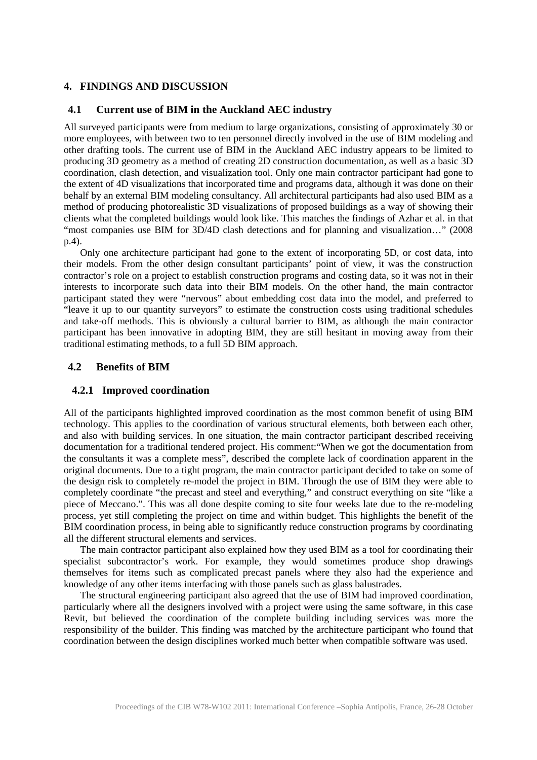# **4. FINDINGS AND DISCUSSION**

#### **4.1 Current use of BIM in the Auckland AEC industry**

All surveyed participants were from medium to large organizations, consisting of approximately 30 or more employees, with between two to ten personnel directly involved in the use of BIM modeling and other drafting tools. The current use of BIM in the Auckland AEC industry appears to be limited to producing 3D geometry as a method of creating 2D construction documentation, as well as a basic 3D coordination, clash detection, and visualization tool. Only one main contractor participant had gone to the extent of 4D visualizations that incorporated time and programs data, although it was done on their behalf by an external BIM modeling consultancy. All architectural participants had also used BIM as a method of producing photorealistic 3D visualizations of proposed buildings as a way of showing their clients what the completed buildings would look like. This matches the findings of Azhar et al. in that "most companies use BIM for 3D/4D clash detections and for planning and visualization…" (2008 p.4).

Only one architecture participant had gone to the extent of incorporating 5D, or cost data, into their models. From the other design consultant participants' point of view, it was the construction contractor's role on a project to establish construction programs and costing data, so it was not in their interests to incorporate such data into their BIM models. On the other hand, the main contractor participant stated they were "nervous" about embedding cost data into the model, and preferred to "leave it up to our quantity surveyors" to estimate the construction costs using traditional schedules and take-off methods. This is obviously a cultural barrier to BIM, as although the main contractor participant has been innovative in adopting BIM, they are still hesitant in moving away from their traditional estimating methods, to a full 5D BIM approach.

#### **4.2 Benefits of BIM**

#### **4.2.1 Improved coordination**

All of the participants highlighted improved coordination as the most common benefit of using BIM technology. This applies to the coordination of various structural elements, both between each other, and also with building services. In one situation, the main contractor participant described receiving documentation for a traditional tendered project. His comment:"When we got the documentation from the consultants it was a complete mess", described the complete lack of coordination apparent in the original documents. Due to a tight program, the main contractor participant decided to take on some of the design risk to completely re-model the project in BIM. Through the use of BIM they were able to completely coordinate "the precast and steel and everything," and construct everything on site "like a piece of Meccano.". This was all done despite coming to site four weeks late due to the re-modeling process, yet still completing the project on time and within budget. This highlights the benefit of the BIM coordination process, in being able to significantly reduce construction programs by coordinating all the different structural elements and services.

The main contractor participant also explained how they used BIM as a tool for coordinating their specialist subcontractor's work. For example, they would sometimes produce shop drawings themselves for items such as complicated precast panels where they also had the experience and knowledge of any other items interfacing with those panels such as glass balustrades.

The structural engineering participant also agreed that the use of BIM had improved coordination, particularly where all the designers involved with a project were using the same software, in this case Revit, but believed the coordination of the complete building including services was more the responsibility of the builder. This finding was matched by the architecture participant who found that coordination between the design disciplines worked much better when compatible software was used.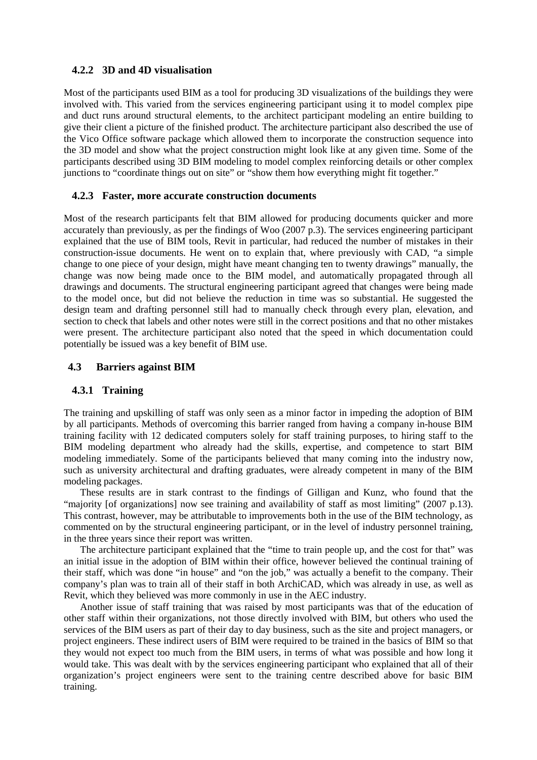# **4.2.2 3D and 4D visualisation**

Most of the participants used BIM as a tool for producing 3D visualizations of the buildings they were involved with. This varied from the services engineering participant using it to model complex pipe and duct runs around structural elements, to the architect participant modeling an entire building to give their client a picture of the finished product. The architecture participant also described the use of the Vico Office software package which allowed them to incorporate the construction sequence into the 3D model and show what the project construction might look like at any given time. Some of the participants described using 3D BIM modeling to model complex reinforcing details or other complex junctions to "coordinate things out on site" or "show them how everything might fit together."

# **4.2.3 Faster, more accurate construction documents**

Most of the research participants felt that BIM allowed for producing documents quicker and more accurately than previously, as per the findings of Woo (2007 p.3). The services engineering participant explained that the use of BIM tools, Revit in particular, had reduced the number of mistakes in their construction-issue documents. He went on to explain that, where previously with CAD, "a simple change to one piece of your design, might have meant changing ten to twenty drawings" manually, the change was now being made once to the BIM model, and automatically propagated through all drawings and documents. The structural engineering participant agreed that changes were being made to the model once, but did not believe the reduction in time was so substantial. He suggested the design team and drafting personnel still had to manually check through every plan, elevation, and section to check that labels and other notes were still in the correct positions and that no other mistakes were present. The architecture participant also noted that the speed in which documentation could potentially be issued was a key benefit of BIM use.

# **4.3 Barriers against BIM**

#### **4.3.1 Training**

The training and upskilling of staff was only seen as a minor factor in impeding the adoption of BIM by all participants. Methods of overcoming this barrier ranged from having a company in-house BIM training facility with 12 dedicated computers solely for staff training purposes, to hiring staff to the BIM modeling department who already had the skills, expertise, and competence to start BIM modeling immediately. Some of the participants believed that many coming into the industry now, such as university architectural and drafting graduates, were already competent in many of the BIM modeling packages.

These results are in stark contrast to the findings of Gilligan and Kunz, who found that the "majority [of organizations] now see training and availability of staff as most limiting" (2007 p.13). This contrast, however, may be attributable to improvements both in the use of the BIM technology, as commented on by the structural engineering participant, or in the level of industry personnel training, in the three years since their report was written.

The architecture participant explained that the "time to train people up, and the cost for that" was an initial issue in the adoption of BIM within their office, however believed the continual training of their staff, which was done "in house" and "on the job," was actually a benefit to the company. Their company's plan was to train all of their staff in both ArchiCAD, which was already in use, as well as Revit, which they believed was more commonly in use in the AEC industry.

Another issue of staff training that was raised by most participants was that of the education of other staff within their organizations, not those directly involved with BIM, but others who used the services of the BIM users as part of their day to day business, such as the site and project managers, or project engineers. These indirect users of BIM were required to be trained in the basics of BIM so that they would not expect too much from the BIM users, in terms of what was possible and how long it would take. This was dealt with by the services engineering participant who explained that all of their organization's project engineers were sent to the training centre described above for basic BIM training.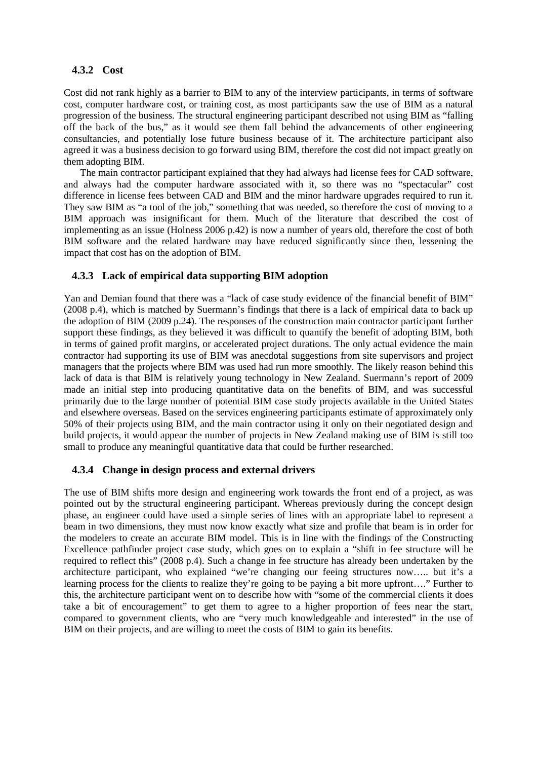# **4.3.2 Cost**

Cost did not rank highly as a barrier to BIM to any of the interview participants, in terms of software cost, computer hardware cost, or training cost, as most participants saw the use of BIM as a natural progression of the business. The structural engineering participant described not using BIM as "falling off the back of the bus," as it would see them fall behind the advancements of other engineering consultancies, and potentially lose future business because of it. The architecture participant also agreed it was a business decision to go forward using BIM, therefore the cost did not impact greatly on them adopting BIM.

The main contractor participant explained that they had always had license fees for CAD software, and always had the computer hardware associated with it, so there was no "spectacular" cost difference in license fees between CAD and BIM and the minor hardware upgrades required to run it. They saw BIM as "a tool of the job," something that was needed, so therefore the cost of moving to a BIM approach was insignificant for them. Much of the literature that described the cost of implementing as an issue (Holness 2006 p.42) is now a number of years old, therefore the cost of both BIM software and the related hardware may have reduced significantly since then, lessening the impact that cost has on the adoption of BIM.

# **4.3.3 Lack of empirical data supporting BIM adoption**

Yan and Demian found that there was a "lack of case study evidence of the financial benefit of BIM" (2008 p.4), which is matched by Suermann's findings that there is a lack of empirical data to back up the adoption of BIM (2009 p.24). The responses of the construction main contractor participant further support these findings, as they believed it was difficult to quantify the benefit of adopting BIM, both in terms of gained profit margins, or accelerated project durations. The only actual evidence the main contractor had supporting its use of BIM was anecdotal suggestions from site supervisors and project managers that the projects where BIM was used had run more smoothly. The likely reason behind this lack of data is that BIM is relatively young technology in New Zealand. Suermann's report of 2009 made an initial step into producing quantitative data on the benefits of BIM, and was successful primarily due to the large number of potential BIM case study projects available in the United States and elsewhere overseas. Based on the services engineering participants estimate of approximately only 50% of their projects using BIM, and the main contractor using it only on their negotiated design and build projects, it would appear the number of projects in New Zealand making use of BIM is still too small to produce any meaningful quantitative data that could be further researched.

#### **4.3.4 Change in design process and external drivers**

The use of BIM shifts more design and engineering work towards the front end of a project, as was pointed out by the structural engineering participant. Whereas previously during the concept design phase, an engineer could have used a simple series of lines with an appropriate label to represent a beam in two dimensions, they must now know exactly what size and profile that beam is in order for the modelers to create an accurate BIM model. This is in line with the findings of the Constructing Excellence pathfinder project case study, which goes on to explain a "shift in fee structure will be required to reflect this" (2008 p.4). Such a change in fee structure has already been undertaken by the architecture participant, who explained "we're changing our feeing structures now….. but it's a learning process for the clients to realize they're going to be paying a bit more upfront…." Further to this, the architecture participant went on to describe how with "some of the commercial clients it does take a bit of encouragement" to get them to agree to a higher proportion of fees near the start, compared to government clients, who are "very much knowledgeable and interested" in the use of BIM on their projects, and are willing to meet the costs of BIM to gain its benefits.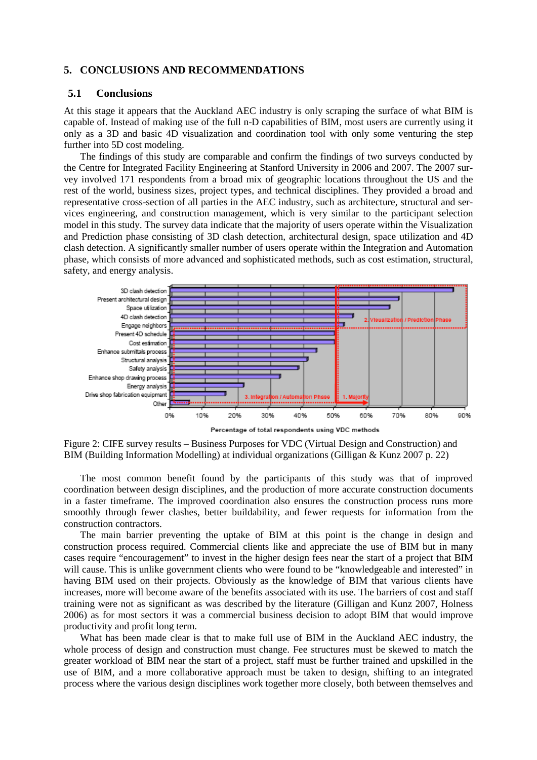#### **5. CONCLUSIONS AND RECOMMENDATIONS**

#### **5.1 Conclusions**

At this stage it appears that the Auckland AEC industry is only scraping the surface of what BIM is capable of. Instead of making use of the full n-D capabilities of BIM, most users are currently using it only as a 3D and basic 4D visualization and coordination tool with only some venturing the step further into 5D cost modeling.

The findings of this study are comparable and confirm the findings of two surveys conducted by the Centre for Integrated Facility Engineering at Stanford University in 2006 and 2007. The 2007 survey involved 171 respondents from a broad mix of geographic locations throughout the US and the rest of the world, business sizes, project types, and technical disciplines. They provided a broad and representative cross-section of all parties in the AEC industry, such as architecture, structural and services engineering, and construction management, which is very similar to the participant selection model in this study. The survey data indicate that the majority of users operate within the Visualization and Prediction phase consisting of 3D clash detection, architectural design, space utilization and 4D clash detection. A significantly smaller number of users operate within the Integration and Automation phase, which consists of more advanced and sophisticated methods, such as cost estimation, structural, safety, and energy analysis.



Figure 2: CIFE survey results – Business Purposes for VDC (Virtual Design and Construction) and

BIM (Building Information Modelling) at individual organizations (Gilligan & Kunz 2007 p. 22)

The most common benefit found by the participants of this study was that of improved coordination between design disciplines, and the production of more accurate construction documents in a faster timeframe. The improved coordination also ensures the construction process runs more smoothly through fewer clashes, better buildability, and fewer requests for information from the construction contractors.

The main barrier preventing the uptake of BIM at this point is the change in design and construction process required. Commercial clients like and appreciate the use of BIM but in many cases require "encouragement" to invest in the higher design fees near the start of a project that BIM will cause. This is unlike government clients who were found to be "knowledgeable and interested" in having BIM used on their projects. Obviously as the knowledge of BIM that various clients have increases, more will become aware of the benefits associated with its use. The barriers of cost and staff training were not as significant as was described by the literature (Gilligan and Kunz 2007, Holness 2006) as for most sectors it was a commercial business decision to adopt BIM that would improve productivity and profit long term.

What has been made clear is that to make full use of BIM in the Auckland AEC industry, the whole process of design and construction must change. Fee structures must be skewed to match the greater workload of BIM near the start of a project, staff must be further trained and upskilled in the use of BIM, and a more collaborative approach must be taken to design, shifting to an integrated process where the various design disciplines work together more closely, both between themselves and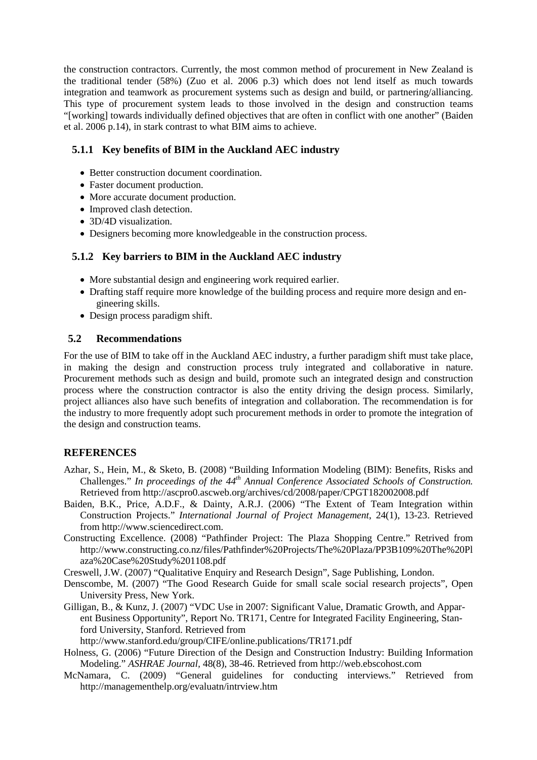the construction contractors. Currently, the most common method of procurement in New Zealand is the traditional tender (58%) (Zuo et al. 2006 p.3) which does not lend itself as much towards integration and teamwork as procurement systems such as design and build, or partnering/alliancing. This type of procurement system leads to those involved in the design and construction teams "[working] towards individually defined objectives that are often in conflict with one another" (Baiden et al. 2006 p.14), in stark contrast to what BIM aims to achieve.

# **5.1.1 Key benefits of BIM in the Auckland AEC industry**

- Better construction document coordination.
- Faster document production.
- More accurate document production.
- Improved clash detection.
- 3D/4D visualization.
- Designers becoming more knowledgeable in the construction process.

# **5.1.2 Key barriers to BIM in the Auckland AEC industry**

- More substantial design and engineering work required earlier.
- Drafting staff require more knowledge of the building process and require more design and engineering skills.
- Design process paradigm shift.

# **5.2 Recommendations**

For the use of BIM to take off in the Auckland AEC industry, a further paradigm shift must take place, in making the design and construction process truly integrated and collaborative in nature. Procurement methods such as design and build, promote such an integrated design and construction process where the construction contractor is also the entity driving the design process. Similarly, project alliances also have such benefits of integration and collaboration. The recommendation is for the industry to more frequently adopt such procurement methods in order to promote the integration of the design and construction teams.

# **REFERENCES**

- Azhar, S., Hein, M., & Sketo, B. (2008) "Building Information Modeling (BIM): Benefits, Risks and Challenges." In proceedings of the 44<sup>th</sup> Annual Conference Associated Schools of Construction. Retrieved from http://ascpro0.ascweb.org/archives/cd/2008/paper/CPGT182002008.pdf
- Baiden, B.K., Price, A.D.F., & Dainty, A.R.J. (2006) "The Extent of Team Integration within Construction Projects." *International Journal of Project Management*, 24(1), 13-23. Retrieved from http://www.sciencedirect.com.
- Constructing Excellence. (2008) "Pathfinder Project: The Plaza Shopping Centre." Retrived from http://www.constructing.co.nz/files/Pathfinder%20Projects/The%20Plaza/PP3B109%20The%20Pl aza%20Case%20Study%201108.pdf

Creswell, J.W. (2007) "Qualitative Enquiry and Research Design", Sage Publishing, London.

Denscombe, M. (2007) "The Good Research Guide for small scale social research projects", Open University Press, New York.

Gilligan, B., & Kunz, J. (2007) "VDC Use in 2007: Significant Value, Dramatic Growth, and Apparent Business Opportunity", Report No. TR171, Centre for Integrated Facility Engineering, Stanford University, Stanford. Retrieved from

http://www.stanford.edu/group/CIFE/online.publications/TR171.pdf

Holness, G. (2006) "Future Direction of the Design and Construction Industry: Building Information Modeling." *ASHRAE Journal,* 48(8), 38-46. Retrieved from http://web.ebscohost.com

McNamara, C. (2009) "General guidelines for conducting interviews." Retrieved from http://managementhelp.org/evaluatn/intrview.htm